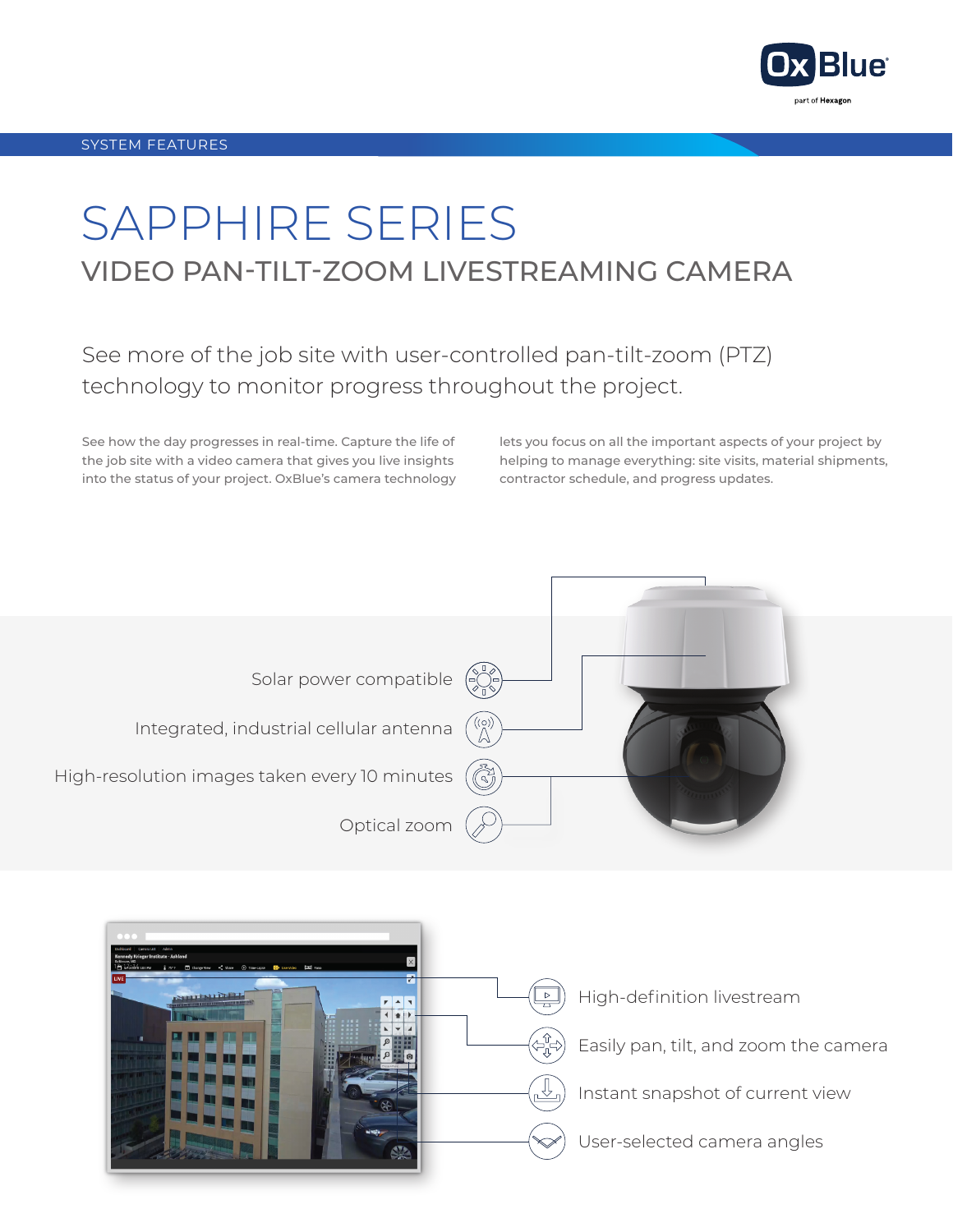

## SAPPHIRE SERIES VIDEO PAN-TILT-ZOOM LIVESTREAMING CAMERA

See more of the job site with user-controlled pan-tilt-zoom (PTZ) technology to monitor progress throughout the project.

See how the day progresses in real-time. Capture the life of the job site with a video camera that gives you live insights into the status of your project. OxBlue's camera technology lets you focus on all the important aspects of your project by helping to manage everything: site visits, material shipments, contractor schedule, and progress updates.